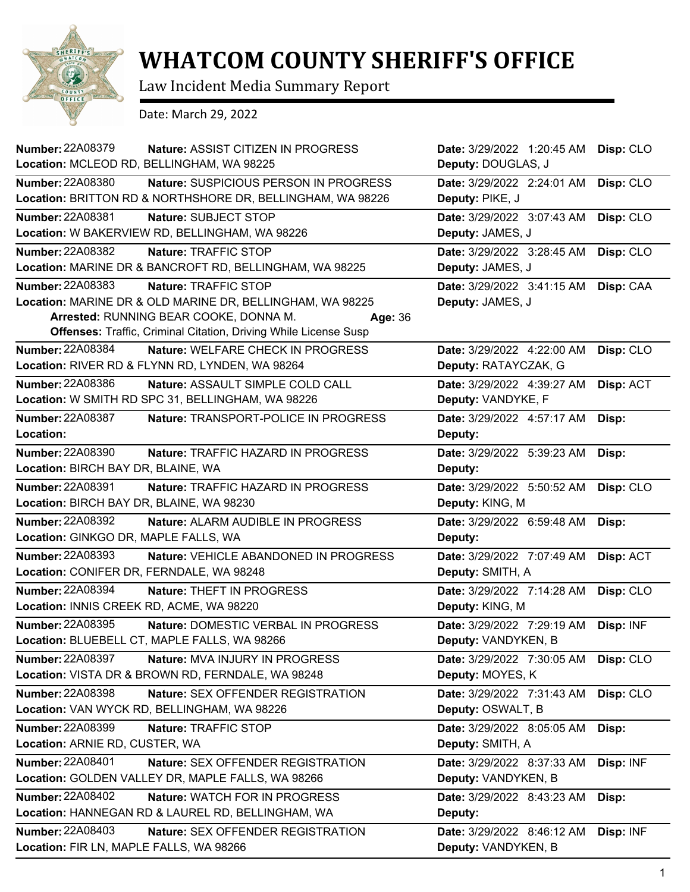

## **WHATCOM COUNTY SHERIFF'S OFFICE**

Law Incident Media Summary Report

Date: March 29, 2022

| <b>Number: 22A08379</b><br>Nature: ASSIST CITIZEN IN PROGRESS           | Date: 3/29/2022 1:20:45 AM | Disp: CLO |
|-------------------------------------------------------------------------|----------------------------|-----------|
| Location: MCLEOD RD, BELLINGHAM, WA 98225                               | Deputy: DOUGLAS, J         |           |
| <b>Number: 22A08380</b><br>Nature: SUSPICIOUS PERSON IN PROGRESS        | Date: 3/29/2022 2:24:01 AM | Disp: CLO |
| Location: BRITTON RD & NORTHSHORE DR, BELLINGHAM, WA 98226              | Deputy: PIKE, J            |           |
| Number: 22A08381<br>Nature: SUBJECT STOP                                | Date: 3/29/2022 3:07:43 AM | Disp: CLO |
| Location: W BAKERVIEW RD, BELLINGHAM, WA 98226                          | Deputy: JAMES, J           |           |
| Number: 22A08382<br>Nature: TRAFFIC STOP                                | Date: 3/29/2022 3:28:45 AM | Disp: CLO |
| Location: MARINE DR & BANCROFT RD, BELLINGHAM, WA 98225                 | Deputy: JAMES, J           |           |
| Number: 22A08383<br>Nature: TRAFFIC STOP                                | Date: 3/29/2022 3:41:15 AM | Disp: CAA |
| Location: MARINE DR & OLD MARINE DR, BELLINGHAM, WA 98225               | Deputy: JAMES, J           |           |
| Arrested: RUNNING BEAR COOKE, DONNA M.<br>Age: 36                       |                            |           |
| <b>Offenses: Traffic, Criminal Citation, Driving While License Susp</b> |                            |           |
| Number: 22A08384<br>Nature: WELFARE CHECK IN PROGRESS                   | Date: 3/29/2022 4:22:00 AM | Disp: CLO |
| Location: RIVER RD & FLYNN RD, LYNDEN, WA 98264                         | Deputy: RATAYCZAK, G       |           |
| Number: 22A08386<br>Nature: ASSAULT SIMPLE COLD CALL                    | Date: 3/29/2022 4:39:27 AM | Disp: ACT |
| Location: W SMITH RD SPC 31, BELLINGHAM, WA 98226                       | Deputy: VANDYKE, F         |           |
| <b>Number: 22A08387</b><br>Nature: TRANSPORT-POLICE IN PROGRESS         | Date: 3/29/2022 4:57:17 AM | Disp:     |
| Location:                                                               | Deputy:                    |           |
| <b>Number: 22A08390</b><br>Nature: TRAFFIC HAZARD IN PROGRESS           | Date: 3/29/2022 5:39:23 AM | Disp:     |
| Location: BIRCH BAY DR, BLAINE, WA                                      | Deputy:                    |           |
| Number: 22A08391<br>Nature: TRAFFIC HAZARD IN PROGRESS                  | Date: 3/29/2022 5:50:52 AM | Disp: CLO |
| Location: BIRCH BAY DR, BLAINE, WA 98230                                | Deputy: KING, M            |           |
| Number: 22A08392<br>Nature: ALARM AUDIBLE IN PROGRESS                   | Date: 3/29/2022 6:59:48 AM | Disp:     |
| Location: GINKGO DR, MAPLE FALLS, WA                                    | Deputy:                    |           |
| Number: 22A08393<br>Nature: VEHICLE ABANDONED IN PROGRESS               | Date: 3/29/2022 7:07:49 AM | Disp: ACT |
| Location: CONIFER DR, FERNDALE, WA 98248                                | Deputy: SMITH, A           |           |
| Number: 22A08394<br>Nature: THEFT IN PROGRESS                           | Date: 3/29/2022 7:14:28 AM | Disp: CLO |
| Location: INNIS CREEK RD, ACME, WA 98220                                | Deputy: KING, M            |           |
| Number: 22A08395<br>Nature: DOMESTIC VERBAL IN PROGRESS                 | Date: 3/29/2022 7:29:19 AM | Disp: INF |
| Location: BLUEBELL CT, MAPLE FALLS, WA 98266                            | Deputy: VANDYKEN, B        |           |
| <b>Number: 22A08397</b><br>Nature: MVA INJURY IN PROGRESS               | Date: 3/29/2022 7:30:05 AM | Disp: CLO |
| Location: VISTA DR & BROWN RD, FERNDALE, WA 98248                       | Deputy: MOYES, K           |           |
| Number: 22A08398<br><b>Nature: SEX OFFENDER REGISTRATION</b>            | Date: 3/29/2022 7:31:43 AM | Disp: CLO |
| Location: VAN WYCK RD, BELLINGHAM, WA 98226                             | Deputy: OSWALT, B          |           |
| <b>Number: 22A08399</b><br>Nature: TRAFFIC STOP                         | Date: 3/29/2022 8:05:05 AM | Disp:     |
| Location: ARNIE RD, CUSTER, WA                                          | Deputy: SMITH, A           |           |
| Number: 22A08401<br>Nature: SEX OFFENDER REGISTRATION                   | Date: 3/29/2022 8:37:33 AM | Disp: INF |
| Location: GOLDEN VALLEY DR, MAPLE FALLS, WA 98266                       | Deputy: VANDYKEN, B        |           |
| <b>Number: 22A08402</b><br>Nature: WATCH FOR IN PROGRESS                | Date: 3/29/2022 8:43:23 AM | Disp:     |
| Location: HANNEGAN RD & LAUREL RD, BELLINGHAM, WA                       | Deputy:                    |           |
| Number: 22A08403<br>Nature: SEX OFFENDER REGISTRATION                   | Date: 3/29/2022 8:46:12 AM | Disp: INF |
| Location: FIR LN, MAPLE FALLS, WA 98266                                 | Deputy: VANDYKEN, B        |           |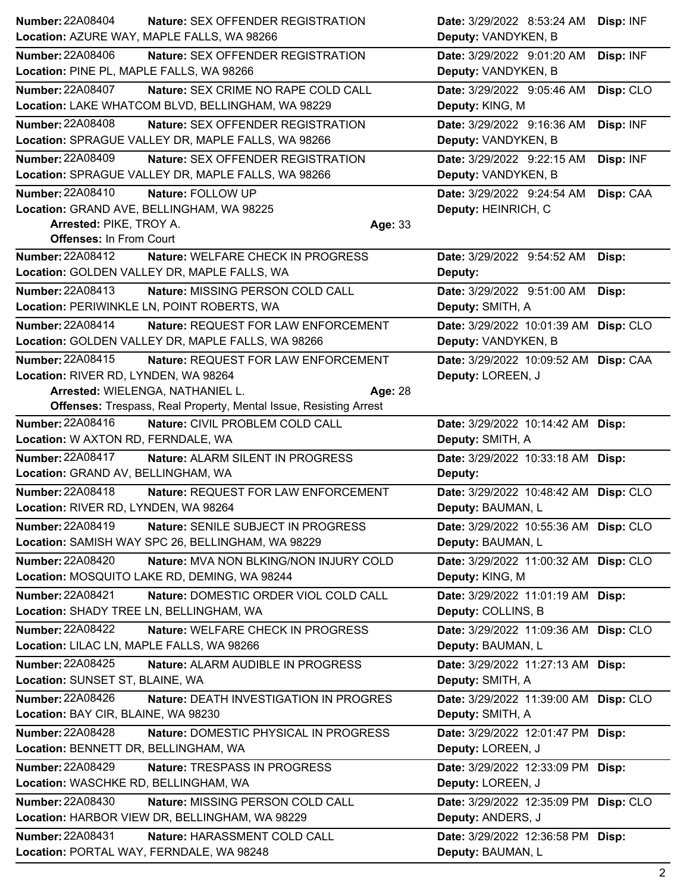| Number: 22A08404                                            | <b>Nature: SEX OFFENDER REGISTRATION</b>                                                | Date: 3/29/2022 8:53:24 AM                                 | Disp: INF |
|-------------------------------------------------------------|-----------------------------------------------------------------------------------------|------------------------------------------------------------|-----------|
|                                                             | Location: AZURE WAY, MAPLE FALLS, WA 98266                                              | Deputy: VANDYKEN, B                                        |           |
| <b>Number: 22A08406</b>                                     | Nature: SEX OFFENDER REGISTRATION                                                       | Date: 3/29/2022 9:01:20 AM                                 | Disp: INF |
| Location: PINE PL, MAPLE FALLS, WA 98266                    |                                                                                         | Deputy: VANDYKEN, B                                        |           |
| <b>Number: 22A08407</b>                                     | Nature: SEX CRIME NO RAPE COLD CALL                                                     | Date: 3/29/2022 9:05:46 AM                                 | Disp: CLO |
|                                                             | Location: LAKE WHATCOM BLVD, BELLINGHAM, WA 98229                                       | Deputy: KING, M                                            |           |
| <b>Number: 22A08408</b>                                     | Nature: SEX OFFENDER REGISTRATION                                                       | Date: 3/29/2022 9:16:36 AM                                 | Disp: INF |
|                                                             | Location: SPRAGUE VALLEY DR, MAPLE FALLS, WA 98266                                      | Deputy: VANDYKEN, B                                        |           |
| <b>Number: 22A08409</b>                                     | Nature: SEX OFFENDER REGISTRATION                                                       | Date: 3/29/2022 9:22:15 AM                                 | Disp: INF |
|                                                             | Location: SPRAGUE VALLEY DR, MAPLE FALLS, WA 98266                                      | Deputy: VANDYKEN, B                                        |           |
| <b>Number: 22A08410</b>                                     | Nature: FOLLOW UP                                                                       | Date: 3/29/2022 9:24:54 AM                                 | Disp: CAA |
|                                                             | Location: GRAND AVE, BELLINGHAM, WA 98225                                               | Deputy: HEINRICH, C                                        |           |
| Arrested: PIKE, TROY A.                                     | Age: 33                                                                                 |                                                            |           |
| <b>Offenses: In From Court</b>                              |                                                                                         |                                                            |           |
| <b>Number: 22A08412</b>                                     | Nature: WELFARE CHECK IN PROGRESS                                                       | Date: 3/29/2022 9:54:52 AM                                 | Disp:     |
|                                                             | Location: GOLDEN VALLEY DR, MAPLE FALLS, WA                                             | Deputy:                                                    |           |
| Number: 22A08413                                            | Nature: MISSING PERSON COLD CALL                                                        | Date: 3/29/2022 9:51:00 AM                                 | Disp:     |
|                                                             | Location: PERIWINKLE LN, POINT ROBERTS, WA                                              | Deputy: SMITH, A                                           |           |
| <b>Number: 22A08414</b>                                     | Nature: REQUEST FOR LAW ENFORCEMENT                                                     | Date: 3/29/2022 10:01:39 AM Disp: CLO                      |           |
|                                                             | Location: GOLDEN VALLEY DR, MAPLE FALLS, WA 98266                                       | Deputy: VANDYKEN, B                                        |           |
| Number: 22A08415                                            | Nature: REQUEST FOR LAW ENFORCEMENT                                                     | Date: 3/29/2022 10:09:52 AM Disp: CAA                      |           |
| Location: RIVER RD, LYNDEN, WA 98264                        |                                                                                         | Deputy: LOREEN, J                                          |           |
|                                                             | Arrested: WIELENGA, NATHANIEL L.<br>Age: 28                                             |                                                            |           |
|                                                             | <b>Offenses:</b> Trespass, Real Property, Mental Issue, Resisting Arrest                |                                                            |           |
| Number: 22A08416                                            | Nature: CIVIL PROBLEM COLD CALL                                                         | Date: 3/29/2022 10:14:42 AM Disp:                          |           |
| Location: W AXTON RD, FERNDALE, WA                          |                                                                                         | Deputy: SMITH, A                                           |           |
| <b>Number: 22A08417</b>                                     | Nature: ALARM SILENT IN PROGRESS                                                        | Date: 3/29/2022 10:33:18 AM Disp:                          |           |
| Location: GRAND AV, BELLINGHAM, WA                          |                                                                                         | Deputy:                                                    |           |
| Number: 22A08418                                            | Nature: REQUEST FOR LAW ENFORCEMENT                                                     | Date: 3/29/2022 10:48:42 AM Disp: CLO                      |           |
| Location: RIVER RD, LYNDEN, WA 98264                        |                                                                                         | Deputy: BAUMAN, L                                          |           |
| Number: 22A08419                                            | Nature: SENILE SUBJECT IN PROGRESS<br>Location: SAMISH WAY SPC 26, BELLINGHAM, WA 98229 | Date: 3/29/2022 10:55:36 AM Disp: CLO<br>Deputy: BAUMAN, L |           |
|                                                             |                                                                                         |                                                            |           |
| Number: 22A08420                                            | Nature: MVA NON BLKING/NON INJURY COLD<br>Location: MOSQUITO LAKE RD, DEMING, WA 98244  | Date: 3/29/2022 11:00:32 AM Disp: CLO<br>Deputy: KING, M   |           |
|                                                             |                                                                                         |                                                            |           |
| Number: 22A08421<br>Location: SHADY TREE LN, BELLINGHAM, WA | Nature: DOMESTIC ORDER VIOL COLD CALL                                                   | Date: 3/29/2022 11:01:19 AM Disp:                          |           |
|                                                             |                                                                                         | Deputy: COLLINS, B                                         |           |
| <b>Number: 22A08422</b>                                     | Nature: WELFARE CHECK IN PROGRESS                                                       | Date: 3/29/2022 11:09:36 AM Disp: CLO                      |           |
| Location: LILAC LN, MAPLE FALLS, WA 98266                   |                                                                                         | Deputy: BAUMAN, L                                          |           |
| Number: 22A08425                                            | Nature: ALARM AUDIBLE IN PROGRESS                                                       | Date: 3/29/2022 11:27:13 AM Disp:                          |           |
| Location: SUNSET ST, BLAINE, WA                             |                                                                                         | Deputy: SMITH, A                                           |           |
| Number: 22A08426                                            | Nature: DEATH INVESTIGATION IN PROGRES                                                  | Date: 3/29/2022 11:39:00 AM Disp: CLO                      |           |
| Location: BAY CIR, BLAINE, WA 98230                         |                                                                                         | Deputy: SMITH, A                                           |           |
| Number: 22A08428                                            | Nature: DOMESTIC PHYSICAL IN PROGRESS                                                   | Date: 3/29/2022 12:01:47 PM Disp:                          |           |
| Location: BENNETT DR, BELLINGHAM, WA                        |                                                                                         | Deputy: LOREEN, J                                          |           |
| Number: 22A08429                                            | Nature: TRESPASS IN PROGRESS                                                            | Date: 3/29/2022 12:33:09 PM Disp:                          |           |
| Location: WASCHKE RD, BELLINGHAM, WA                        |                                                                                         | Deputy: LOREEN, J                                          |           |
| Number: 22A08430                                            | Nature: MISSING PERSON COLD CALL                                                        | Date: 3/29/2022 12:35:09 PM Disp: CLO                      |           |
|                                                             | Location: HARBOR VIEW DR, BELLINGHAM, WA 98229                                          | Deputy: ANDERS, J                                          |           |
| Number: 22A08431                                            | Nature: HARASSMENT COLD CALL                                                            | Date: 3/29/2022 12:36:58 PM Disp:                          |           |
| Location: PORTAL WAY, FERNDALE, WA 98248                    |                                                                                         | Deputy: BAUMAN, L                                          |           |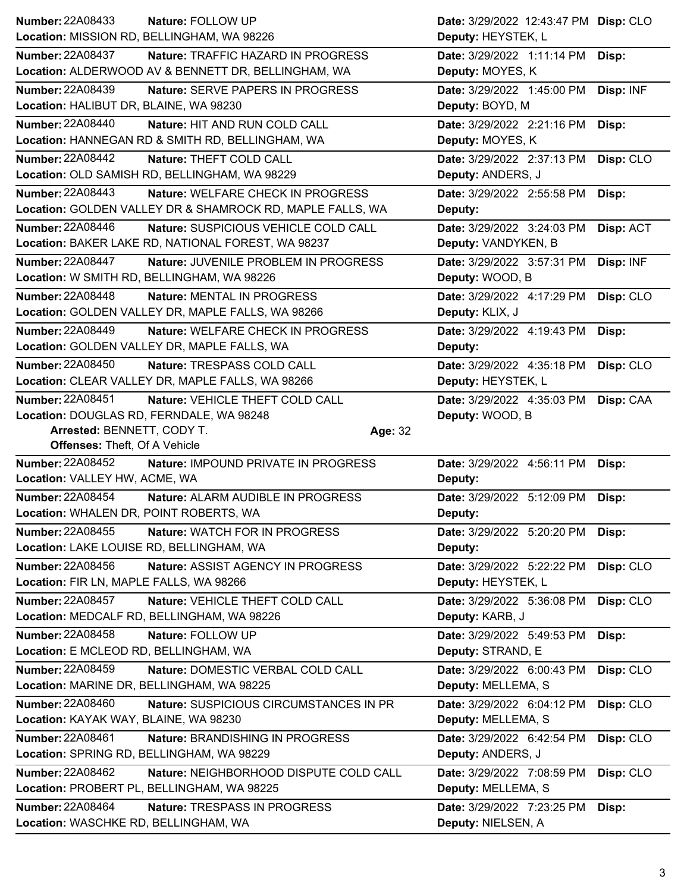| <b>Number: 22A08433</b>                   | Nature: FOLLOW UP                                         | Date: 3/29/2022 12:43:47 PM Disp: CLO |           |
|-------------------------------------------|-----------------------------------------------------------|---------------------------------------|-----------|
|                                           | Location: MISSION RD, BELLINGHAM, WA 98226                | Deputy: HEYSTEK, L                    |           |
| <b>Number: 22A08437</b>                   | Nature: TRAFFIC HAZARD IN PROGRESS                        | Date: 3/29/2022 1:11:14 PM            | Disp:     |
|                                           | Location: ALDERWOOD AV & BENNETT DR, BELLINGHAM, WA       | Deputy: MOYES, K                      |           |
| <b>Number: 22A08439</b>                   | Nature: SERVE PAPERS IN PROGRESS                          | Date: 3/29/2022 1:45:00 PM            | Disp: INF |
| Location: HALIBUT DR, BLAINE, WA 98230    |                                                           | Deputy: BOYD, M                       |           |
| <b>Number: 22A08440</b>                   | Nature: HIT AND RUN COLD CALL                             | Date: 3/29/2022 2:21:16 PM            | Disp:     |
|                                           | Location: HANNEGAN RD & SMITH RD, BELLINGHAM, WA          | Deputy: MOYES, K                      |           |
| <b>Number: 22A08442</b>                   | Nature: THEFT COLD CALL                                   | Date: 3/29/2022 2:37:13 PM            | Disp: CLO |
|                                           | Location: OLD SAMISH RD, BELLINGHAM, WA 98229             | Deputy: ANDERS, J                     |           |
| <b>Number: 22A08443</b>                   | Nature: WELFARE CHECK IN PROGRESS                         | Date: 3/29/2022 2:55:58 PM            | Disp:     |
|                                           | Location: GOLDEN VALLEY DR & SHAMROCK RD, MAPLE FALLS, WA | Deputy:                               |           |
| Number: 22A08446                          | Nature: SUSPICIOUS VEHICLE COLD CALL                      | Date: 3/29/2022 3:24:03 PM            | Disp: ACT |
|                                           | Location: BAKER LAKE RD, NATIONAL FOREST, WA 98237        | Deputy: VANDYKEN, B                   |           |
| <b>Number: 22A08447</b>                   | Nature: JUVENILE PROBLEM IN PROGRESS                      | Date: 3/29/2022 3:57:31 PM            | Disp: INF |
|                                           | Location: W SMITH RD, BELLINGHAM, WA 98226                | Deputy: WOOD, B                       |           |
| <b>Number: 22A08448</b>                   | Nature: MENTAL IN PROGRESS                                | Date: 3/29/2022 4:17:29 PM            | Disp: CLO |
|                                           | Location: GOLDEN VALLEY DR, MAPLE FALLS, WA 98266         | Deputy: KLIX, J                       |           |
| Number: 22A08449                          | Nature: WELFARE CHECK IN PROGRESS                         | Date: 3/29/2022 4:19:43 PM            | Disp:     |
|                                           | Location: GOLDEN VALLEY DR, MAPLE FALLS, WA               | Deputy:                               |           |
| <b>Number: 22A08450</b>                   | Nature: TRESPASS COLD CALL                                | Date: 3/29/2022 4:35:18 PM            | Disp: CLO |
|                                           | Location: CLEAR VALLEY DR, MAPLE FALLS, WA 98266          | Deputy: HEYSTEK, L                    |           |
| Number: 22A08451                          | Nature: VEHICLE THEFT COLD CALL                           | Date: 3/29/2022 4:35:03 PM            | Disp: CAA |
| Location: DOUGLAS RD, FERNDALE, WA 98248  |                                                           | Deputy: WOOD, B                       |           |
|                                           |                                                           |                                       |           |
| Arrested: BENNETT, CODY T.                | Age: 32                                                   |                                       |           |
| <b>Offenses: Theft, Of A Vehicle</b>      |                                                           |                                       |           |
| Number: 22A08452                          | Nature: IMPOUND PRIVATE IN PROGRESS                       | Date: 3/29/2022 4:56:11 PM            | Disp:     |
| Location: VALLEY HW, ACME, WA             |                                                           | Deputy:                               |           |
| <b>Number: 22A08454</b>                   | Nature: ALARM AUDIBLE IN PROGRESS                         | Date: 3/29/2022 5:12:09 PM            | Disp:     |
| Location: WHALEN DR, POINT ROBERTS, WA    |                                                           | Deputy:                               |           |
| Number: 22A08455                          | Nature: WATCH FOR IN PROGRESS                             | Date: 3/29/2022 5:20:20 PM            | Disp:     |
| Location: LAKE LOUISE RD, BELLINGHAM, WA  |                                                           | Deputy:                               |           |
| <b>Number: 22A08456</b>                   | Nature: ASSIST AGENCY IN PROGRESS                         | Date: 3/29/2022 5:22:22 PM            | Disp: CLO |
| Location: FIR LN, MAPLE FALLS, WA 98266   |                                                           | Deputy: HEYSTEK, L                    |           |
| <b>Number: 22A08457</b>                   | Nature: VEHICLE THEFT COLD CALL                           | Date: 3/29/2022 5:36:08 PM            | Disp: CLO |
|                                           | Location: MEDCALF RD, BELLINGHAM, WA 98226                | Deputy: KARB, J                       |           |
| Number: 22A08458                          | Nature: FOLLOW UP                                         | Date: 3/29/2022 5:49:53 PM            | Disp:     |
| Location: E MCLEOD RD, BELLINGHAM, WA     |                                                           | Deputy: STRAND, E                     |           |
| Number: 22A08459                          | Nature: DOMESTIC VERBAL COLD CALL                         | Date: 3/29/2022 6:00:43 PM            | Disp: CLO |
| Location: MARINE DR, BELLINGHAM, WA 98225 |                                                           | Deputy: MELLEMA, S                    |           |
| <b>Number: 22A08460</b>                   | Nature: SUSPICIOUS CIRCUMSTANCES IN PR                    | Date: 3/29/2022 6:04:12 PM            | Disp: CLO |
| Location: KAYAK WAY, BLAINE, WA 98230     |                                                           | Deputy: MELLEMA, S                    |           |
| Number: 22A08461                          | <b>Nature: BRANDISHING IN PROGRESS</b>                    | Date: 3/29/2022 6:42:54 PM            | Disp: CLO |
| Location: SPRING RD, BELLINGHAM, WA 98229 |                                                           | Deputy: ANDERS, J                     |           |
| <b>Number: 22A08462</b>                   | Nature: NEIGHBORHOOD DISPUTE COLD CALL                    | Date: 3/29/2022 7:08:59 PM            | Disp: CLO |
|                                           | Location: PROBERT PL, BELLINGHAM, WA 98225                | Deputy: MELLEMA, S                    |           |
| Number: 22A08464                          | Nature: TRESPASS IN PROGRESS                              | Date: 3/29/2022 7:23:25 PM            | Disp:     |